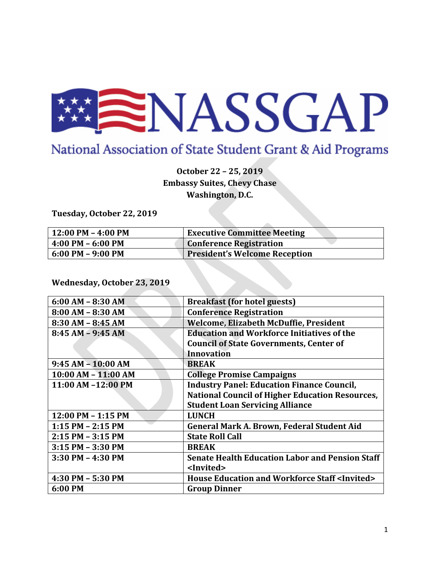

## National Association of State Student Grant & Aid Programs

**October 22 – 25, 2019 Embassy Suites, Chevy Chase Washington, D.C.**

**Tuesday, October 22, 2019**

| $12:00$ PM - 4:00 PM | <b>Executive Committee Meeting</b>   |
|----------------------|--------------------------------------|
| $ 4:00$ PM - 6:00 PM | <b>Conference Registration</b>       |
| $6:00$ PM - 9:00 PM  | <b>President's Welcome Reception</b> |

**Wednesday, October 23, 2019**

| $6:00 AM - 8:30 AM$   | <b>Breakfast (for hotel guests)</b>                            |
|-----------------------|----------------------------------------------------------------|
| $8:00 AM - 8:30 AM$   | <b>Conference Registration</b>                                 |
| $8:30$ AM $- 8:45$ AM | <b>Welcome, Elizabeth McDuffie, President</b>                  |
| $8:45 AM - 9:45 AM$   | <b>Education and Workforce Initiatives of the</b>              |
|                       | <b>Council of State Governments, Center of</b>                 |
|                       | <b>Innovation</b>                                              |
| $9:45 AM - 10:00 AM$  | <b>BREAK</b>                                                   |
| 10:00 AM - 11:00 AM   | <b>College Promise Campaigns</b>                               |
| 11:00 AM -12:00 PM    | <b>Industry Panel: Education Finance Council,</b>              |
|                       | <b>National Council of Higher Education Resources,</b>         |
|                       | <b>Student Loan Servicing Alliance</b>                         |
| 12:00 PM - 1:15 PM    | <b>LUNCH</b>                                                   |
| $1:15$ PM $- 2:15$ PM | General Mark A. Brown, Federal Student Aid                     |
| 2:15 PM - 3:15 PM     | <b>State Roll Call</b>                                         |
| 3:15 PM - 3:30 PM     | <b>BREAK</b>                                                   |
| 3:30 PM - 4:30 PM     | <b>Senate Health Education Labor and Pension Staff</b>         |
|                       | <lnvited></lnvited>                                            |
| 4:30 PM - 5:30 PM     | <b>House Education and Workforce Staff <invited></invited></b> |
| 6:00 PM               | <b>Group Dinner</b>                                            |